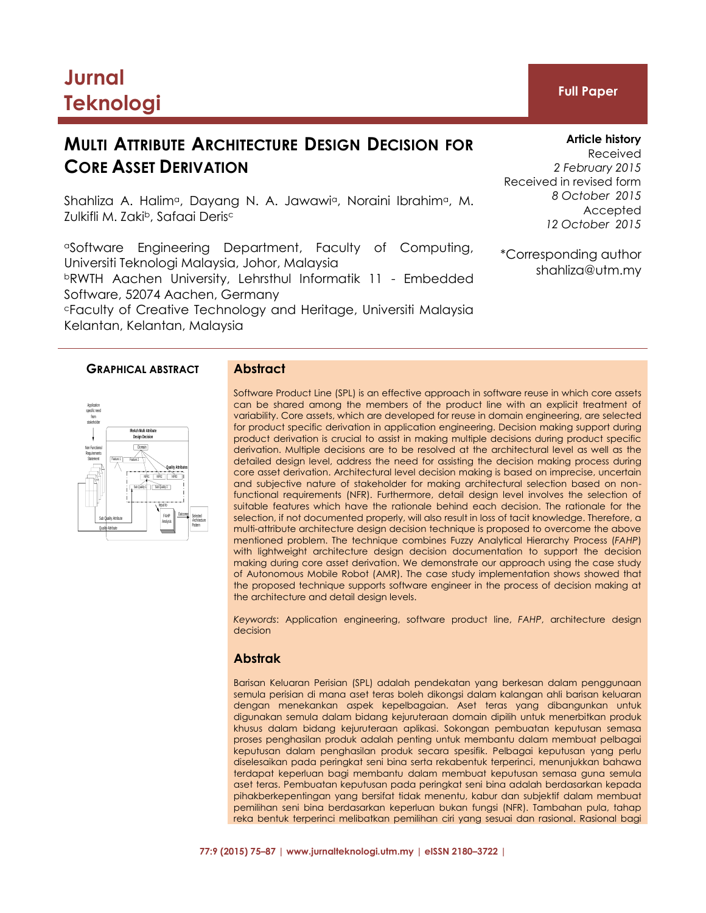# **Jurnal Teknologi Full Paper**

## **MULTI ATTRIBUTE ARCHITECTURE DESIGN DECISION FOR CORE ASSET DERIVATION**

Shahliza A. Halim<sup>a</sup>, Dayang N. A. Jawawi<sup>a</sup>, Noraini Ibrahim<sup>a</sup>, M. Zulkifli M. Zaki<sup>b</sup>, Safaai Derisc

aSoftware Engineering Department, Faculty of Computing, Universiti Teknologi Malaysia, Johor, Malaysia <sup>b</sup>RWTH Aachen University, Lehrsthul Informatik 11 - Embedded Software, 52074 Aachen, Germany <sup>c</sup>Faculty of Creative Technology and Heritage, Universiti Malaysia

Kelantan, Kelantan, Malaysia

## **GRAPHICAL ABSTRACT Abstract**

Software Product Line (SPL) is an effective approach in software reuse in which core assets can be shared among the members of the product line with an explicit treatment of variability. Core assets, which are developed for reuse in domain engineering, are selected for product specific derivation in application engineering. Decision making support during product derivation is crucial to assist in making multiple decisions during product specific derivation. Multiple decisions are to be resolved at the architectural level as well as the detailed design level, address the need for assisting the decision making process during core asset derivation. Architectural level decision making is based on imprecise, uncertain and subjective nature of stakeholder for making architectural selection based on nonfunctional requirements (NFR). Furthermore, detail design level involves the selection of suitable features which have the rationale behind each decision. The rationale for the selection, if not documented properly, will also result in loss of tacit knowledge. Therefore, a multi-attribute architecture design decision technique is proposed to overcome the above mentioned problem. The technique combines Fuzzy Analytical Hierarchy Process (*FAHP*) with lightweight architecture design decision documentation to support the decision making during core asset derivation. We demonstrate our approach using the case study of Autonomous Mobile Robot (AMR). The case study implementation shows showed that the proposed technique supports software engineer in the process of decision making at the architecture and detail design levels.

*Keywords*: Application engineering, software product line, *FAHP*, architecture design decision

## **Abstrak**

Barisan Keluaran Perisian (SPL) adalah pendekatan yang berkesan dalam penggunaan semula perisian di mana aset teras boleh dikongsi dalam kalangan ahli barisan keluaran dengan menekankan aspek kepelbagaian. Aset teras yang dibangunkan untuk digunakan semula dalam bidang kejuruteraan domain dipilih untuk menerbitkan produk khusus dalam bidang kejuruteraan aplikasi. Sokongan pembuatan keputusan semasa proses penghasilan produk adalah penting untuk membantu dalam membuat pelbagai keputusan dalam penghasilan produk secara spesifik. Pelbagai keputusan yang perlu diselesaikan pada peringkat seni bina serta rekabentuk terperinci, menunjukkan bahawa terdapat keperluan bagi membantu dalam membuat keputusan semasa guna semula aset teras. Pembuatan keputusan pada peringkat seni bina adalah berdasarkan kepada pihakberkepentingan yang bersifat tidak menentu, kabur dan subjektif dalam membuat pemilihan seni bina berdasarkan keperluan bukan fungsi (NFR). Tambahan pula, tahap reka bentuk terperinci melibatkan pemilihan ciri yang sesuai dan rasional. Rasional bagi

**77:9 (2015) 75–87 | www.jurnalteknologi.utm.my | eISSN 2180–3722 |**

## **Article history**

Received *2 February 2015* Received in revised form *8 October 2015* Accepted *12 October 2015*

\*Corresponding author shahliza@utm.my

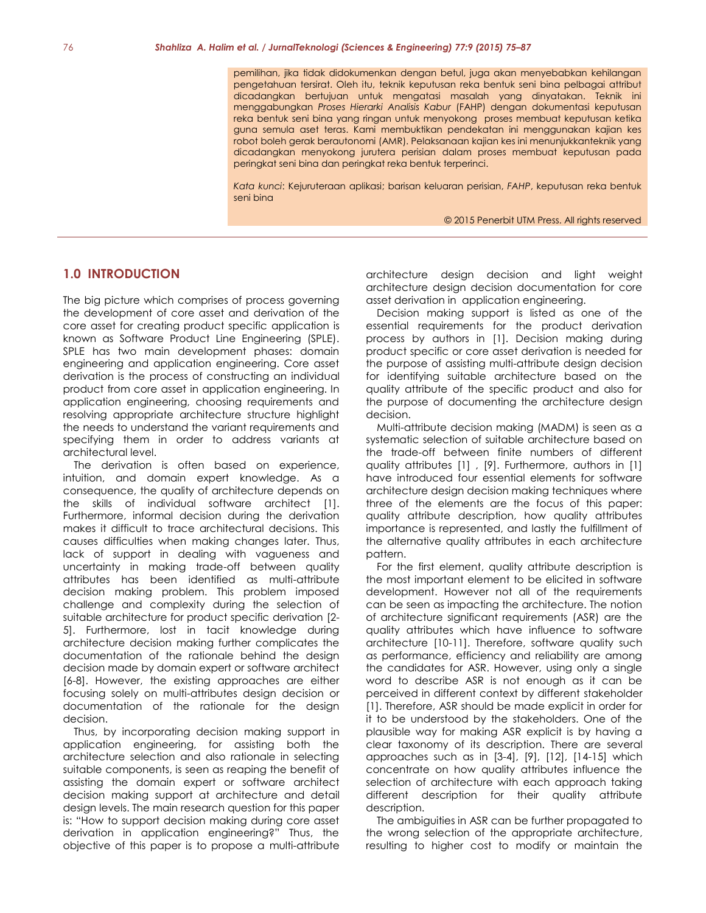pemilihan, jika tidak didokumenkan dengan betul, juga akan menyebabkan kehilangan pengetahuan tersirat. Oleh itu, teknik keputusan reka bentuk seni bina pelbagai attribut dicadangkan bertujuan untuk mengatasi masalah yang dinyatakan. Teknik ini menggabungkan *Proses Hierarki Analisis Kabur* (FAHP) dengan dokumentasi keputusan reka bentuk seni bina yang ringan untuk menyokong proses membuat keputusan ketika guna semula aset teras. Kami membuktikan pendekatan ini menggunakan kajian kes robot boleh gerak berautonomi (AMR). Pelaksanaan kajian kes ini menunjukkanteknik yang dicadangkan menyokong jurutera perisian dalam proses membuat keputusan pada peringkat seni bina dan peringkat reka bentuk terperinci.

*Kata kunci*: Kejuruteraan aplikasi; barisan keluaran perisian, *FAHP*, keputusan reka bentuk seni bina

© 2015 Penerbit UTM Press. All rights reserved

## **1.0 INTRODUCTION**

The big picture which comprises of process governing the development of core asset and derivation of the core asset for creating product specific application is known as Software Product Line Engineering (SPLE). SPLE has two main development phases: domain engineering and application engineering. Core asset derivation is the process of constructing an individual product from core asset in application engineering. In application engineering, choosing requirements and resolving appropriate architecture structure highlight the needs to understand the variant requirements and specifying them in order to address variants at architectural level.

The derivation is often based on experience, intuition, and domain expert knowledge. As a consequence, the quality of architecture depends on the skills of individual software architect [1]. Furthermore, informal decision during the derivation makes it difficult to trace architectural decisions. This causes difficulties when making changes later. Thus, lack of support in dealing with vagueness and uncertainty in making trade-off between quality attributes has been identified as multi-attribute decision making problem. This problem imposed challenge and complexity during the selection of suitable architecture for product specific derivation [2- 5]. Furthermore, lost in tacit knowledge during architecture decision making further complicates the documentation of the rationale behind the design decision made by domain expert or software architect [6-8]. However, the existing approaches are either focusing solely on multi-attributes design decision or documentation of the rationale for the design decision.

Thus, by incorporating decision making support in application engineering, for assisting both the architecture selection and also rationale in selecting suitable components, is seen as reaping the benefit of assisting the domain expert or software architect decision making support at architecture and detail design levels. The main research question for this paper is: "How to support decision making during core asset derivation in application engineering?" Thus, the objective of this paper is to propose a multi-attribute

architecture design decision and light weight architecture design decision documentation for core asset derivation in application engineering.

Decision making support is listed as one of the essential requirements for the product derivation process by authors in [1]. Decision making during product specific or core asset derivation is needed for the purpose of assisting multi-attribute design decision for identifying suitable architecture based on the quality attribute of the specific product and also for the purpose of documenting the architecture design decision.

Multi-attribute decision making (MADM) is seen as a systematic selection of suitable architecture based on the trade-off between finite numbers of different quality attributes [1] , [9]. Furthermore, authors in [1] have introduced four essential elements for software architecture design decision making techniques where three of the elements are the focus of this paper: quality attribute description, how quality attributes importance is represented, and lastly the fulfillment of the alternative quality attributes in each architecture pattern.

For the first element, quality attribute description is the most important element to be elicited in software development. However not all of the requirements can be seen as impacting the architecture. The notion of architecture significant requirements (ASR) are the quality attributes which have influence to software architecture [10-11]. Therefore, software quality such as performance, efficiency and reliability are among the candidates for ASR. However, using only a single word to describe ASR is not enough as it can be perceived in different context by different stakeholder [1]. Therefore, ASR should be made explicit in order for it to be understood by the stakeholders. One of the plausible way for making ASR explicit is by having a clear taxonomy of its description. There are several approaches such as in [3-4], [9], [12], [14-15] which concentrate on how quality attributes influence the selection of architecture with each approach taking different description for their quality attribute description.

The ambiguities in ASR can be further propagated to the wrong selection of the appropriate architecture, resulting to higher cost to modify or maintain the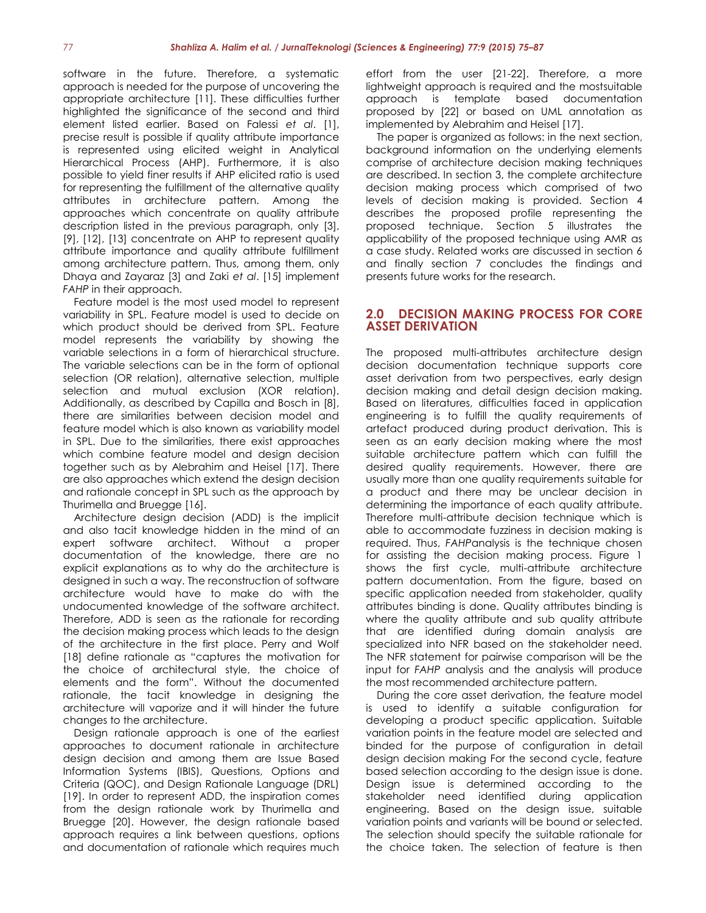software in the future. Therefore, a systematic approach is needed for the purpose of uncovering the appropriate architecture [11]. These difficulties further highlighted the significance of the second and third element listed earlier. Based on Falessi *et al*. [1], precise result is possible if quality attribute importance is represented using elicited weight in Analytical Hierarchical Process (AHP). Furthermore, it is also possible to yield finer results if AHP elicited ratio is used for representing the fulfillment of the alternative quality attributes in architecture pattern. Among the approaches which concentrate on quality attribute description listed in the previous paragraph, only [3], [9], [12], [13] concentrate on AHP to represent quality attribute importance and quality attribute fulfillment among architecture pattern. Thus, among them, only Dhaya and Zayaraz [3] and Zaki *et al*. [15] implement *FAHP* in their approach.

Feature model is the most used model to represent variability in SPL. Feature model is used to decide on which product should be derived from SPL. Feature model represents the variability by showing the variable selections in a form of hierarchical structure. The variable selections can be in the form of optional selection (OR relation), alternative selection, multiple selection and mutual exclusion (XOR relation). Additionally, as described by Capilla and Bosch in [8], there are similarities between decision model and feature model which is also known as variability model in SPL. Due to the similarities, there exist approaches which combine feature model and design decision together such as by Alebrahim and Heisel [17]. There are also approaches which extend the design decision and rationale concept in SPL such as the approach by Thurimella and Bruegge [16].

Architecture design decision (ADD) is the implicit and also tacit knowledge hidden in the mind of an expert software architect. Without a proper documentation of the knowledge, there are no explicit explanations as to why do the architecture is designed in such a way. The reconstruction of software architecture would have to make do with the undocumented knowledge of the software architect. Therefore, ADD is seen as the rationale for recording the decision making process which leads to the design of the architecture in the first place. Perry and Wolf [18] define rationale as "captures the motivation for the choice of architectural style, the choice of elements and the form". Without the documented rationale, the tacit knowledge in designing the architecture will vaporize and it will hinder the future changes to the architecture.

Design rationale approach is one of the earliest approaches to document rationale in architecture design decision and among them are Issue Based Information Systems (IBIS), Questions, Options and Criteria (QOC), and Design Rationale Language (DRL) [19]. In order to represent ADD, the inspiration comes from the design rationale work by Thurimella and Bruegge [20]. However, the design rationale based approach requires a link between questions, options and documentation of rationale which requires much effort from the user [21-22]. Therefore, a more lightweight approach is required and the mostsuitable approach is template based documentation proposed by [22] or based on UML annotation as implemented by Alebrahim and Heisel [17].

The paper is organized as follows: in the next section, background information on the underlying elements comprise of architecture decision making techniques are described. In section 3, the complete architecture decision making process which comprised of two levels of decision making is provided. Section 4 describes the proposed profile representing the proposed technique. Section 5 illustrates the applicability of the proposed technique using AMR as a case study. Related works are discussed in section 6 and finally section 7 concludes the findings and presents future works for the research.

## **2.0 DECISION MAKING PROCESS FOR CORE ASSET DERIVATION**

The proposed multi-attributes architecture design decision documentation technique supports core asset derivation from two perspectives, early design decision making and detail design decision making. Based on literatures, difficulties faced in application engineering is to fulfill the quality requirements of artefact produced during product derivation. This is seen as an early decision making where the most suitable architecture pattern which can fulfill the desired quality requirements. However, there are usually more than one quality requirements suitable for a product and there may be unclear decision in determining the importance of each quality attribute. Therefore multi-attribute decision technique which is able to accommodate fuzziness in decision making is required. Thus, *FAHP*analysis is the technique chosen for assisting the decision making process. Figure 1 shows the first cycle, multi-attribute architecture pattern documentation. From the figure, based on specific application needed from stakeholder, quality attributes binding is done. Quality attributes binding is where the quality attribute and sub quality attribute that are identified during domain analysis are specialized into NFR based on the stakeholder need. The NFR statement for pairwise comparison will be the input for *FAHP* analysis and the analysis will produce the most recommended architecture pattern.

During the core asset derivation, the feature model is used to identify a suitable configuration for developing a product specific application. Suitable variation points in the feature model are selected and binded for the purpose of configuration in detail design decision making For the second cycle, feature based selection according to the design issue is done. Design issue is determined according to the stakeholder need identified during application engineering. Based on the design issue, suitable variation points and variants will be bound or selected. The selection should specify the suitable rationale for the choice taken. The selection of feature is then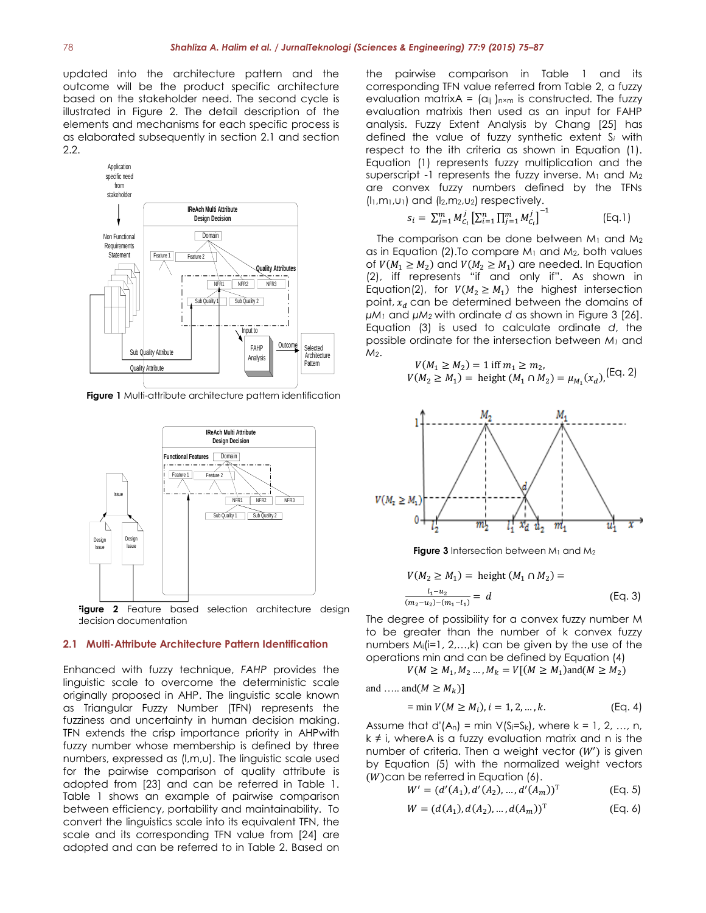updated into the architecture pattern and the outcome will be the product specific architecture based on the stakeholder need. The second cycle is illustrated in Figure 2. The detail description of the elements and mechanisms for each specific process is as elaborated subsequently in section 2.1 and section 2.2.



**Figure 1** Multi-attribute architecture pattern identification



**Figure 2** Feature based selection architecture design decision documentation

#### **2.1 Multi-Attribute Architecture Pattern Identification**

Enhanced with fuzzy technique, *FAHP* provides the linguistic scale to overcome the deterministic scale originally proposed in AHP. The linguistic scale known as Triangular Fuzzy Number (TFN) represents the fuzziness and uncertainty in human decision making. TFN extends the crisp importance priority in AHPwith fuzzy number whose membership is defined by three numbers, expressed as (l,m,u). The linguistic scale used for the pairwise comparison of quality attribute is adopted from [23] and can be referred in Table 1. Table 1 shows an example of pairwise comparison between efficiency, portability and maintainability. To convert the linguistics scale into its equivalent TFN, the scale and its corresponding TFN value from [24] are adopted and can be referred to in Table 2. Based on the pairwise comparison in Table 1 and its corresponding TFN value referred from Table 2, a fuzzy evaluation matrixA =  $(a_{ij})_{n \times m}$  is constructed. The fuzzy evaluation matrixis then used as an input for FAHP analysis. Fuzzy Extent Analysis by Chang [25] has defined the value of fuzzy synthetic extent S*<sup>i</sup>* with respect to the ith criteria as shown in Equation (1). Equation (1) represents fuzzy multiplication and the superscript -1 represents the fuzzy inverse.  $M_1$  and  $M_2$ are convex fuzzy numbers defined by the TFNs (l1,m1,u1) and (l2,m2,u2) respectively.

$$
s_i = \sum_{j=1}^{m} M_{C_i}^j \left[ \sum_{i=1}^{n} \prod_{j=1}^{m} M_{C_i}^j \right]^{-1}
$$
 (Eq.1)

The comparison can be done between  $M_1$  and  $M_2$ as in Equation (2). To compare  $M_1$  and  $M_2$ , both values of  $V(M_1 \ge M_2)$  and  $V(M_2 \ge M_1)$  are needed. In Equation (2), iff represents "if and only if". As shown in Equation(2), for  $V(M_2 \geq M_1)$  the highest intersection point,  $x_d$  can be determined between the domains of *µM<sup>1</sup>* and *µM<sup>2</sup>* with ordinate *d* as shown in Figure 3 [26]. Equation (3) is used to calculate ordinate *d*, the possible ordinate for the intersection between *M<sup>1</sup>* and *M2*.

$$
V(M_1 \ge M_2) = 1 \text{ iff } m_1 \ge m_2,
$$
  
 
$$
V(M_2 \ge M_1) = \text{height } (M_1 \cap M_2) = \mu_{M_1}(x_d),
$$
 [Eq. 2]



**Figure 3** Intersection between M<sub>1</sub> and M<sub>2</sub>

$$
V(M_2 \ge M_1) = \text{height} (M_1 \cap M_2) =
$$
  

$$
\frac{l_1 - u_2}{(m_2 - u_2) - (m_1 - l_1)} = d
$$
 (Eq. 3)

The degree of possibility for a convex fuzzy number M to be greater than the number of k convex fuzzy numbers  $M_i(i=1, 2,...,k)$  can be given by the use of the operations min and can be defined by Equation (4)

 $V(M \ge M_1, M_2, ..., M_k = V[(M \ge M_1) \text{and} (M \ge M_2)]$ 

and ….. and  $(M \geq M_k)$ ]

$$
= \min V(M \ge M_i), i = 1, 2, ..., k. \tag{Eq. 4}
$$

Assume that d'( $A_n$ ) = min  $V(S_i=S_k)$ , where  $k = 1, 2, ..., n$ , k ≠ i, whereA is a fuzzy evaluation matrix and n is the number of criteria. Then a weight vector  $(W')$  is given by Equation (5) with the normalized weight vectors  $(W)$ can be referred in Equation  $(6)$ .

$$
W' = (d'(A_1), d'(A_2), \dots, d'(A_m))^T
$$
 (Eq. 5)

$$
W = (d(A_1), d(A_2), ..., d(A_m))^T
$$
 (Eq. 6)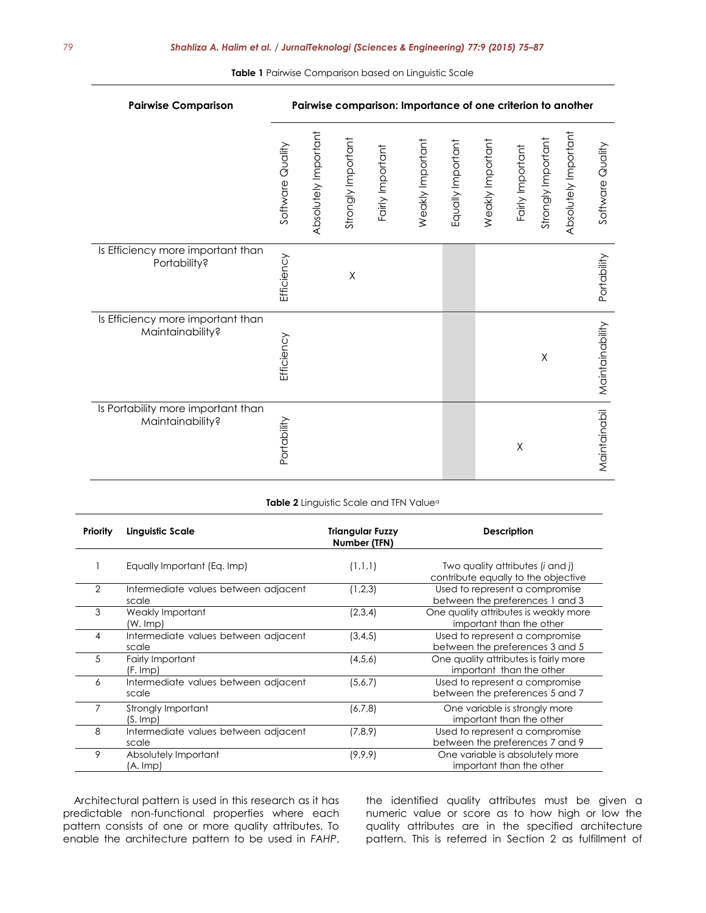| <b>Pairwise Comparison</b>                             | Pairwise comparison: Importance of one criterion to another |                      |                    |                  |                  |                   |                  |                  |                    |                      |                  |
|--------------------------------------------------------|-------------------------------------------------------------|----------------------|--------------------|------------------|------------------|-------------------|------------------|------------------|--------------------|----------------------|------------------|
|                                                        | Software Quality                                            | Absolutely Important | Strongly Important | Fairly Important | Weakly Important | Equally Important | Weakly Important | Fairly Important | Strongly Important | Absolutely Important | Software Quality |
| Is Efficiency more important than<br>Portability?      | Efficiency                                                  |                      | $\mathsf X$        |                  |                  |                   |                  |                  |                    |                      | Portability      |
| Is Efficiency more important than<br>Maintainability?  | Efficiency                                                  |                      |                    |                  |                  |                   |                  |                  | Χ                  |                      | Maintainability  |
| Is Portability more important than<br>Maintainability? | Portability                                                 |                      |                    |                  |                  |                   |                  | Χ                |                    |                      | Maintainabil     |

| <b>Table 2</b> Linguistic Scale and TFN Valueª |  |
|------------------------------------------------|--|
|------------------------------------------------|--|

| Priority       | <b>Linguistic Scale</b>                       | <b>Triangular Fuzzy</b><br>Number (TFN) | Description                                                                             |
|----------------|-----------------------------------------------|-----------------------------------------|-----------------------------------------------------------------------------------------|
|                | Equally Important (Eq. Imp)                   | (1,1,1)                                 | Two quality attributes ( <i>i</i> and <i>j</i> )<br>contribute equally to the objective |
| $\overline{2}$ | Intermediate values between adjacent<br>scale | (1,2,3)                                 | Used to represent a compromise<br>between the preferences 1 and 3                       |
| 3              | Weakly Important<br>(W. Imp)                  | (2,3,4)                                 | One quality attributes is weakly more<br>important than the other                       |
| 4              | Intermediate values between adjacent<br>scale | (3, 4, 5)                               | Used to represent a compromise<br>between the preferences 3 and 5                       |
| 5              | Fairly Important<br>(F. Imp)                  | (4,5,6)                                 | One quality attributes is fairly more<br>important than the other                       |
| 6              | Intermediate values between adjacent<br>scale | (5,6,7)                                 | Used to represent a compromise<br>between the preferences 5 and 7                       |
|                | Strongly Important<br>(S. Imp)                | (6,7,8)                                 | One variable is strongly more<br>important than the other                               |
| 8              | Intermediate values between adjacent<br>scale | (7,8,9)                                 | Used to represent a compromise<br>between the preferences 7 and 9                       |
| 9              | Absolutely Important<br>(A. Imp)              | (9, 9, 9)                               | One variable is absolutely more<br>important than the other                             |

Architectural pattern is used in this research as it has predictable non-functional properties where each pattern consists of one or more quality attributes. To enable the architecture pattern to be used in *FAHP*,

the identified quality attributes must be given a numeric value or score as to how high or low the quality attributes are in the specified architecture pattern. This is referred in Section 2 as fulfillment of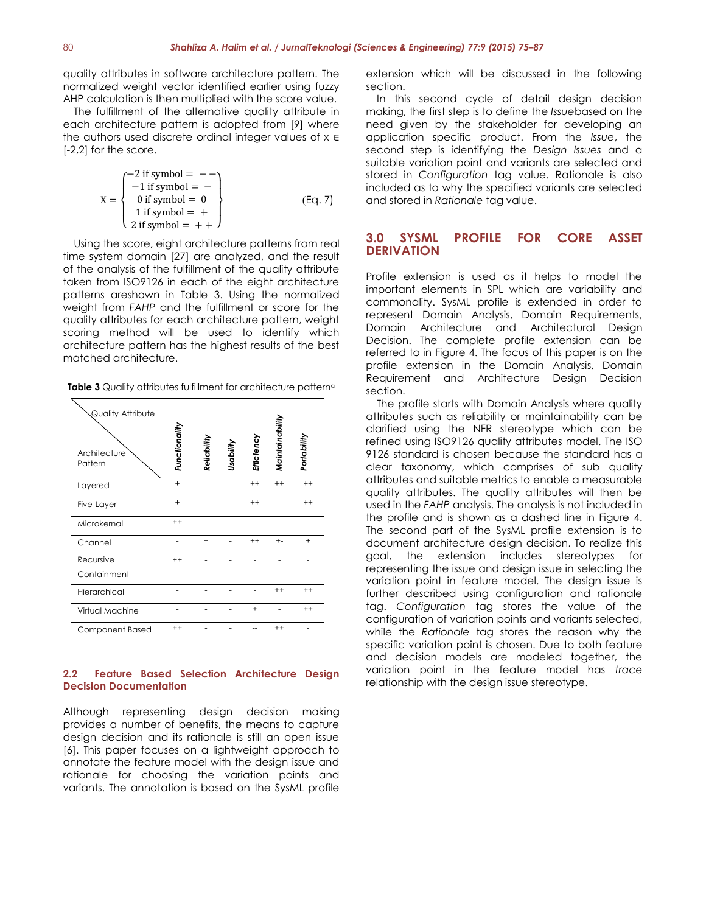quality attributes in software architecture pattern. The normalized weight vector identified earlier using fuzzy AHP calculation is then multiplied with the score value.

The fulfillment of the alternative quality attribute in each architecture pattern is adopted from [9] where the authors used discrete ordinal integer values of x ∈ [-2,2] for the score.

$$
X = \begin{cases}\n-2 \text{ if symbol } = - - \\
-1 \text{ if symbol } = - \\
0 \text{ if symbol } = 0 \\
1 \text{ if symbol } = + \\
2 \text{ if symbol } = + +\n\end{cases}
$$
\n(Eq. 7)

Using the score, eight architecture patterns from real time system domain [27] are analyzed, and the result of the analysis of the fulfillment of the quality attribute taken from ISO9126 in each of the eight architecture patterns areshown in Table 3. Using the normalized weight from *FAHP* and the fulfillment or score for the quality attributes for each architecture pattern, weight scoring method will be used to identify which architecture pattern has the highest results of the best matched architecture.

**Table 3** Quality attributes fulfillment for architecture pattern<sup>a</sup>

| <b>Quality Attribute</b><br>Architecture<br>Pattern | Functionality | Reliability | Usability | Efficiency | Maintainability | Portability |
|-----------------------------------------------------|---------------|-------------|-----------|------------|-----------------|-------------|
| Layered                                             | $+$           |             |           | $++$       | $++$            | $++$        |
| Five-Layer                                          | $+$           |             |           | $++$       |                 | $++$        |
| Microkernal                                         | $++$          |             |           |            |                 |             |
| Channel                                             |               | $^{+}$      |           | $++$       | $+ -$           | $\ddot{}$   |
| Recursive                                           | $++$          |             |           |            |                 |             |
| Containment                                         |               |             |           |            |                 |             |
| Hierarchical                                        |               |             |           |            | $++$            | $++$        |
| Virtual Machine                                     |               |             |           | $\ddot{}$  |                 | $++$        |
| Component Based                                     | $++$          |             |           |            | $++$            |             |

## **2.2 Feature Based Selection Architecture Design Decision Documentation**

Although representing design decision making provides a number of benefits, the means to capture design decision and its rationale is still an open issue [6]. This paper focuses on a lightweight approach to annotate the feature model with the design issue and rationale for choosing the variation points and variants. The annotation is based on the SysML profile

extension which will be discussed in the following section.

In this second cycle of detail design decision making, the first step is to define the *Issue*based on the need given by the stakeholder for developing an application specific product. From the *Issue*, the second step is identifying the *Design Issues* and a suitable variation point and variants are selected and stored in *Configuration* tag value. Rationale is also included as to why the specified variants are selected and stored in *Rationale* tag value.

## **3.0 SYSML PROFILE FOR CORE ASSET DERIVATION**

Profile extension is used as it helps to model the important elements in SPL which are variability and commonality. SysML profile is extended in order to represent Domain Analysis, Domain Requirements, Domain Architecture and Architectural Design Decision. The complete profile extension can be referred to in Figure 4. The focus of this paper is on the profile extension in the Domain Analysis, Domain Requirement and Architecture Design Decision section.

The profile starts with Domain Analysis where quality attributes such as reliability or maintainability can be clarified using the NFR stereotype which can be refined using ISO9126 quality attributes model. The ISO 9126 standard is chosen because the standard has a clear taxonomy, which comprises of sub quality attributes and suitable metrics to enable a measurable quality attributes. The quality attributes will then be used in the *FAHP* analysis. The analysis is not included in the profile and is shown as a dashed line in Figure 4. The second part of the SysML profile extension is to document architecture design decision. To realize this goal, the extension includes stereotypes for representing the issue and design issue in selecting the variation point in feature model. The design issue is further described using configuration and rationale tag. *Configuration* tag stores the value of the configuration of variation points and variants selected, while the *Rationale* tag stores the reason why the specific variation point is chosen. Due to both feature and decision models are modeled together, the variation point in the feature model has *trace* relationship with the design issue stereotype.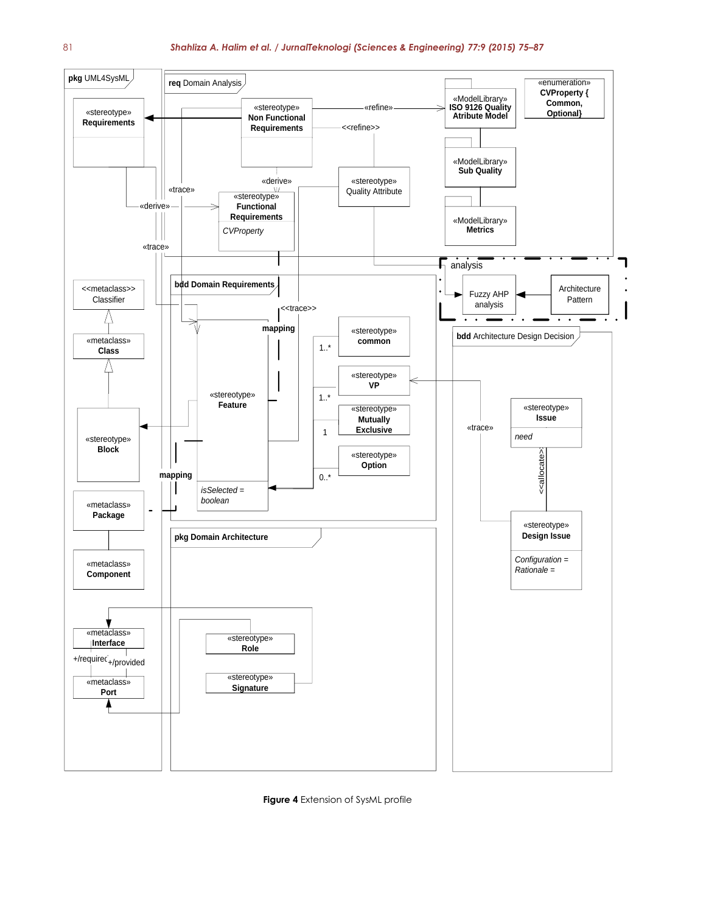

**Figure 4** Extension of SysML profile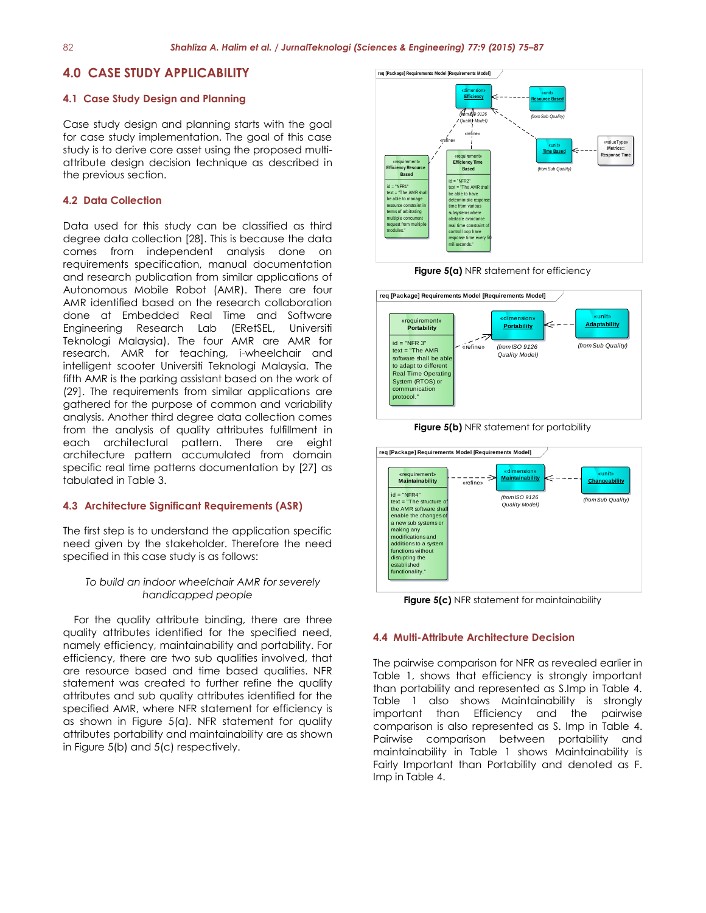## **4.0 CASE STUDY APPLICABILITY**

#### **4.1 Case Study Design and Planning**

Case study design and planning starts with the goal for case study implementation. The goal of this case study is to derive core asset using the proposed multiattribute design decision technique as described in the previous section.

#### **4.2 Data Collection**

Data used for this study can be classified as third degree data collection [28]. This is because the data comes from independent analysis done on requirements specification, manual documentation and research publication from similar applications of Autonomous Mobile Robot (AMR). There are four AMR identified based on the research collaboration done at Embedded Real Time and Software Engineering Research Lab (ERetSEL, Universiti Teknologi Malaysia). The four AMR are AMR for research, AMR for teaching, i-wheelchair and intelligent scooter Universiti Teknologi Malaysia. The fifth AMR is the parking assistant based on the work of (29]. The requirements from similar applications are gathered for the purpose of common and variability analysis. Another third degree data collection comes from the analysis of quality attributes fulfillment in each architectural pattern. There are eight architecture pattern accumulated from domain specific real time patterns documentation by [27] as tabulated in Table 3.

## **4.3 Architecture Significant Requirements (ASR)**

The first step is to understand the application specific need given by the stakeholder. Therefore the need specified in this case study is as follows:

## *To build an indoor wheelchair AMR for severely handicapped people*

For the quality attribute binding, there are three quality attributes identified for the specified need, namely efficiency, maintainability and portability. For efficiency, there are two sub qualities involved, that are resource based and time based qualities. NFR statement was created to further refine the quality attributes and sub quality attributes identified for the specified AMR, where NFR statement for efficiency is as shown in Figure 5(a). NFR statement for quality attributes portability and maintainability are as shown in Figure 5(b) and 5(c) respectively.



**Figure 5(a)** NFR statement for efficiency







**Figure 5(c)** NFR statement for maintainability

#### **4.4 Multi-Attribute Architecture Decision**

The pairwise comparison for NFR as revealed earlier in Table 1, shows that efficiency is strongly important than portability and represented as S.Imp in Table 4. Table 1 also shows Maintainability is strongly important than Efficiency and the pairwise comparison is also represented as S. Imp in Table 4. Pairwise comparison between portability and maintainability in Table 1 shows Maintainability is Fairly Important than Portability and denoted as F. Imp in Table 4.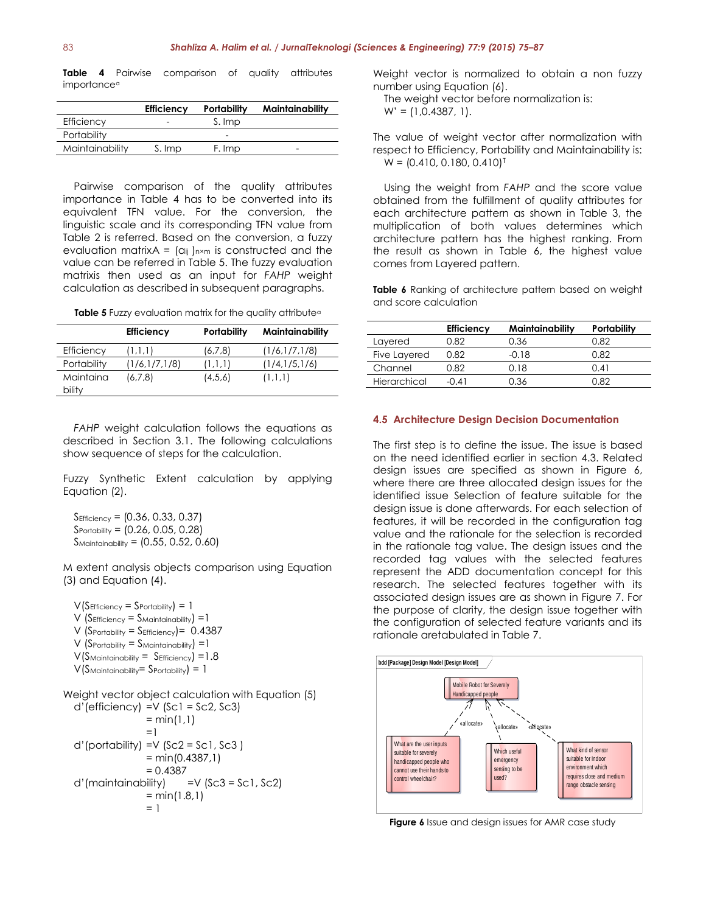**Table 4** Pairwise comparison of quality attributes importance<sup>a</sup>

|                 | <b>Efficiency</b> | <b>Portability</b> | Maintainability |
|-----------------|-------------------|--------------------|-----------------|
| Efficiency      |                   | S. Imp             |                 |
| Portability     |                   | -                  |                 |
| Maintainability | S. Imp            | F. Imp             |                 |

Pairwise comparison of the quality attributes importance in Table 4 has to be converted into its equivalent TFN value. For the conversion, the linguistic scale and its corresponding TFN value from Table 2 is referred. Based on the conversion, a fuzzy evaluation matrixA =  $(a_{ij})_{n \times m}$  is constructed and the value can be referred in Table 5. The fuzzy evaluation matrixis then used as an input for *FAHP* weight calculation as described in subsequent paragraphs.

| Table 5 Fuzzy evaluation matrix for the quality attributed |  |  |
|------------------------------------------------------------|--|--|
|------------------------------------------------------------|--|--|

|                     | <b>Efficiency</b> | Portability | Maintainability |
|---------------------|-------------------|-------------|-----------------|
| Efficiency          | (1, 1, 1)         | (6,7,8)     | (1/6,1/7,1/8)   |
| Portability         | (1/6,1/7,1/8)     | (1,1,1)     | (1/4,1/5,1/6)   |
| Maintaina<br>bility | (6,7,8)           | (4,5,6)     | (1,1,1)         |

*FAHP* weight calculation follows the equations as described in Section 3.1. The following calculations show sequence of steps for the calculation.

Fuzzy Synthetic Extent calculation by applying Equation (2).

 $S_{\text{Efficiency}} = \{0.36, 0.33, 0.37\}$  $S_{\text{Portability}} = \{0.26, 0.05, 0.28\}$  $S$ Maintainability =  $(0.55, 0.52, 0.60)$ 

M extent analysis objects comparison using Equation (3) and Equation (4).

 $V(S_{Efficiency} = S_{Portability}) = 1$  $V$  (Sefficiency = Smaintainability) = 1  $V$  (Sportability = SEfficiency) = 0.4387  $V$  (Sportability = S<sub>Maintainability</sub>) = 1  $V(S_{\text{Maintainability}} = S_{\text{Efficiency}}) = 1.8$  $V(S_{\text{Maintainability}} = S_{\text{Portability}}) = 1$ 

Weight vector object calculation with Equation (5)  $d'(efficiency) = V(Sc1 = Sc2, Sc3)$  $= min(1,1)$ =1  $d'(portability) = V(Sc2 = Sc1, Sc3)$  $= min(0.4387,1)$  $= 0.4387$  $d'$ (maintainability) =V (Sc3 = Sc1, Sc2)  $= min(1.8,1)$  $= 1$ 

Weight vector is normalized to obtain a non fuzzy number using Equation (6).

The weight vector before normalization is:  $W' = (1, 0.4387, 1).$ 

The value of weight vector after normalization with respect to Efficiency, Portability and Maintainability is:  $W = \{0.410, 0.180, 0.410\}^T$ 

Using the weight from *FAHP* and the score value obtained from the fulfillment of quality attributes for each architecture pattern as shown in Table 3, the multiplication of both values determines which architecture pattern has the highest ranking. From the result as shown in Table 6, the highest value comes from Layered pattern.

**Table 6** Ranking of architecture pattern based on weight and score calculation

|              | <b>Efficiency</b> | Maintainability | Portability |
|--------------|-------------------|-----------------|-------------|
| Layered      | 0.82              | 0.36            | 0.82        |
| Five Layered | 0.82              | $-0.18$         | 0.82        |
| Channel      | 0.82              | 0.18            | 0.41        |
| Hierarchical | -೧ 41             | 0.36            | በ ጸን        |

#### **4.5 Architecture Design Decision Documentation**

The first step is to define the issue. The issue is based on the need identified earlier in section 4.3. Related design issues are specified as shown in Figure 6, where there are three allocated design issues for the identified issue Selection of feature suitable for the design issue is done afterwards. For each selection of features, it will be recorded in the configuration tag value and the rationale for the selection is recorded in the rationale tag value. The design issues and the recorded tag values with the selected features represent the ADD documentation concept for this research. The selected features together with its associated design issues are as shown in Figure 7. For the purpose of clarity, the design issue together with the configuration of selected feature variants and its rationale aretabulated in Table 7.



**Figure 6** Issue and design issues for AMR case study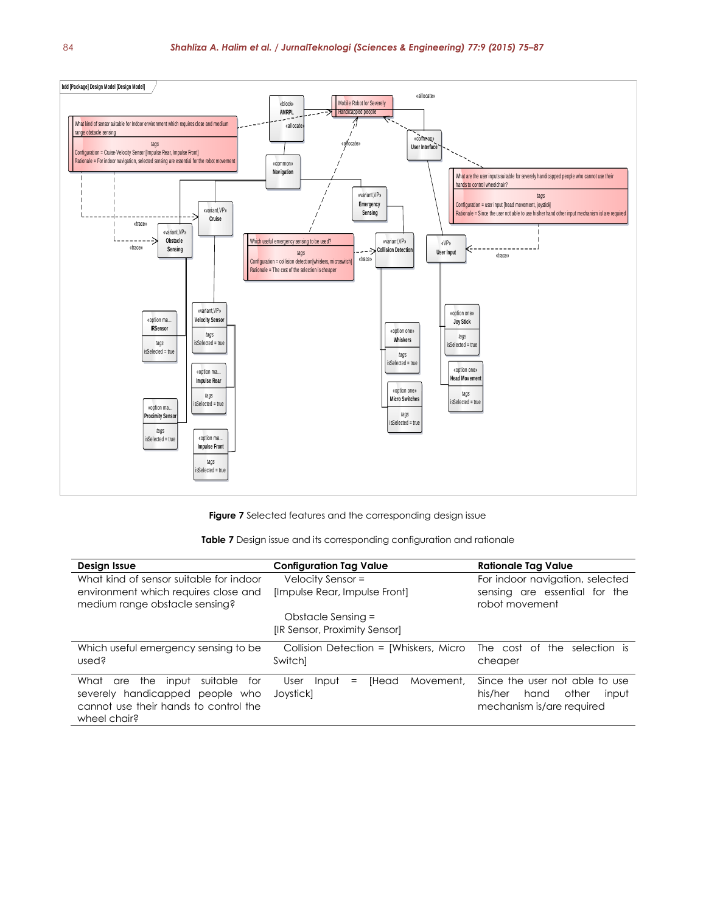

**Figure 7** Selected features and the corresponding design issue

|  |  |  | <b>Table 7</b> Design issue and its corresponding configuration and rationale |  |  |
|--|--|--|-------------------------------------------------------------------------------|--|--|
|--|--|--|-------------------------------------------------------------------------------|--|--|

| Design Issue                                                                                                                               | <b>Configuration Tag Value</b>                          | <b>Rationale Tag Value</b>                                                                       |  |
|--------------------------------------------------------------------------------------------------------------------------------------------|---------------------------------------------------------|--------------------------------------------------------------------------------------------------|--|
| What kind of sensor suitable for indoor<br>environment which requires close and<br>medium range obstacle sensing?                          | Velocity Sensor =<br>[Impulse Rear, Impulse Front]      | For indoor navigation, selected<br>sensing are essential for the<br>robot movement               |  |
|                                                                                                                                            | Obstacle Sensing =<br>[IR Sensor, Proximity Sensor]     |                                                                                                  |  |
| Which useful emergency sensing to be<br>used?                                                                                              | Collision Detection = [Whiskers, Micro<br>Switch]       | The cost of the selection is<br>cheaper                                                          |  |
| What<br>suitable<br>the<br>input<br>tor<br>are<br>severely handicapped people who<br>cannot use their hands to control the<br>wheel chair? | [Head<br>Movement,<br>User<br>Input<br>$=$<br>Jovstickl | Since the user not able to use<br>his/her<br>other<br>hand<br>input<br>mechanism is/are required |  |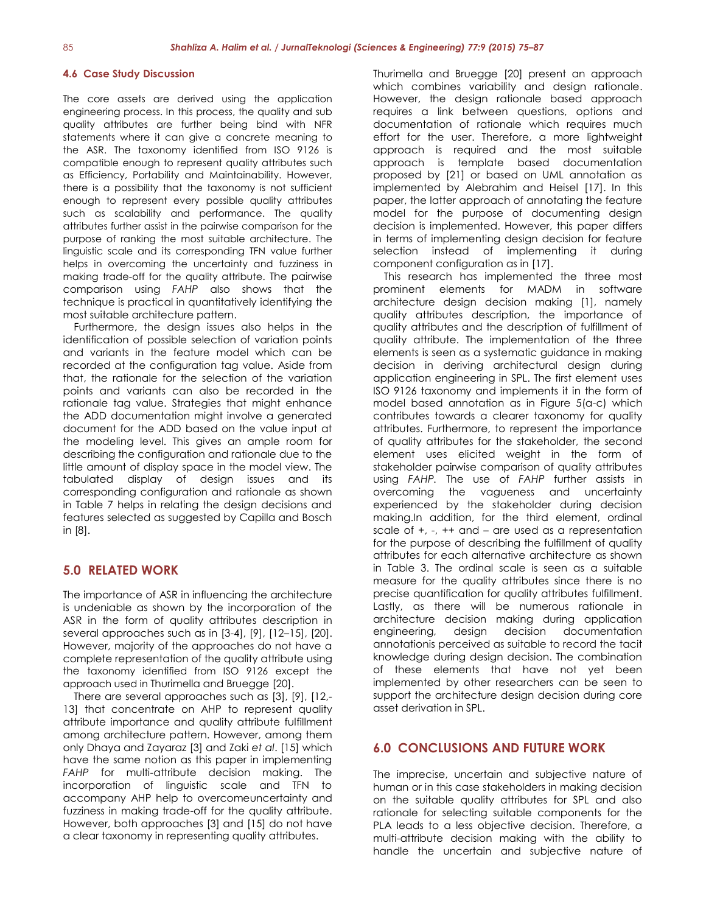## **4.6 Case Study Discussion**

The core assets are derived using the application engineering process. In this process, the quality and sub quality attributes are further being bind with NFR statements where it can give a concrete meaning to the ASR. The taxonomy identified from ISO 9126 is compatible enough to represent quality attributes such as Efficiency, Portability and Maintainability. However, there is a possibility that the taxonomy is not sufficient enough to represent every possible quality attributes such as scalability and performance. The quality attributes further assist in the pairwise comparison for the purpose of ranking the most suitable architecture. The linguistic scale and its corresponding TFN value further helps in overcoming the uncertainty and fuzziness in making trade-off for the quality attribute. The pairwise comparison using *FAHP* also shows that the technique is practical in quantitatively identifying the most suitable architecture pattern.

Furthermore, the design issues also helps in the identification of possible selection of variation points and variants in the feature model which can be recorded at the configuration tag value. Aside from that, the rationale for the selection of the variation points and variants can also be recorded in the rationale tag value. Strategies that might enhance the ADD documentation might involve a generated document for the ADD based on the value input at the modeling level. This gives an ample room for describing the configuration and rationale due to the little amount of display space in the model view. The tabulated display of design issues and its corresponding configuration and rationale as shown in Table 7 helps in relating the design decisions and features selected as suggested by Capilla and Bosch in [8].

## **5.0 RELATED WORK**

The importance of ASR in influencing the architecture is undeniable as shown by the incorporation of the ASR in the form of quality attributes description in several approaches such as in [3-4], [9], [12–15], [20]. However, majority of the approaches do not have a complete representation of the quality attribute using the taxonomy identified from ISO 9126 except the approach used in Thurimella and Bruegge [20].

There are several approaches such as [3], [9], [12,- 131 that concentrate on AHP to represent quality attribute importance and quality attribute fulfillment among architecture pattern. However, among them only Dhaya and Zayaraz [3] and Zaki *et al*. [15] which have the same notion as this paper in implementing *FAHP* for multi-attribute decision making. The incorporation of linguistic scale and TFN to accompany AHP help to overcomeuncertainty and fuzziness in making trade-off for the quality attribute. However, both approaches [3] and [15] do not have a clear taxonomy in representing quality attributes.

Thurimella and Bruegge [20] present an approach which combines variability and design rationale. However, the design rationale based approach requires a link between questions, options and documentation of rationale which requires much effort for the user. Therefore, a more lightweight approach is required and the most suitable approach is template based documentation proposed by [21] or based on UML annotation as implemented by Alebrahim and Heisel [17]. In this paper, the latter approach of annotating the feature model for the purpose of documenting design decision is implemented. However, this paper differs in terms of implementing design decision for feature selection instead of implementing it during component configuration as in [17].

This research has implemented the three most prominent elements for MADM in software architecture design decision making [1], namely quality attributes description, the importance of quality attributes and the description of fulfillment of quality attribute. The implementation of the three elements is seen as a systematic guidance in making decision in deriving architectural design during application engineering in SPL. The first element uses ISO 9126 taxonomy and implements it in the form of model based annotation as in Figure 5(a-c) which contributes towards a clearer taxonomy for quality attributes. Furthermore, to represent the importance of quality attributes for the stakeholder, the second element uses elicited weight in the form of stakeholder pairwise comparison of quality attributes using *FAHP.* The use of *FAHP* further assists in overcoming the vagueness and uncertainty experienced by the stakeholder during decision making.In addition, for the third element, ordinal scale of +, -, ++ and – are used as a representation for the purpose of describing the fulfillment of quality attributes for each alternative architecture as shown in Table 3. The ordinal scale is seen as a suitable measure for the quality attributes since there is no precise quantification for quality attributes fulfillment. Lastly, as there will be numerous rationale in architecture decision making during application engineering, design decision documentation annotationis perceived as suitable to record the tacit knowledge during design decision. The combination of these elements that have not yet been implemented by other researchers can be seen to support the architecture design decision during core asset derivation in SPL.

## **6.0 CONCLUSIONS AND FUTURE WORK**

The imprecise, uncertain and subjective nature of human or in this case stakeholders in making decision on the suitable quality attributes for SPL and also rationale for selecting suitable components for the PLA leads to a less objective decision. Therefore, a multi-attribute decision making with the ability to handle the uncertain and subjective nature of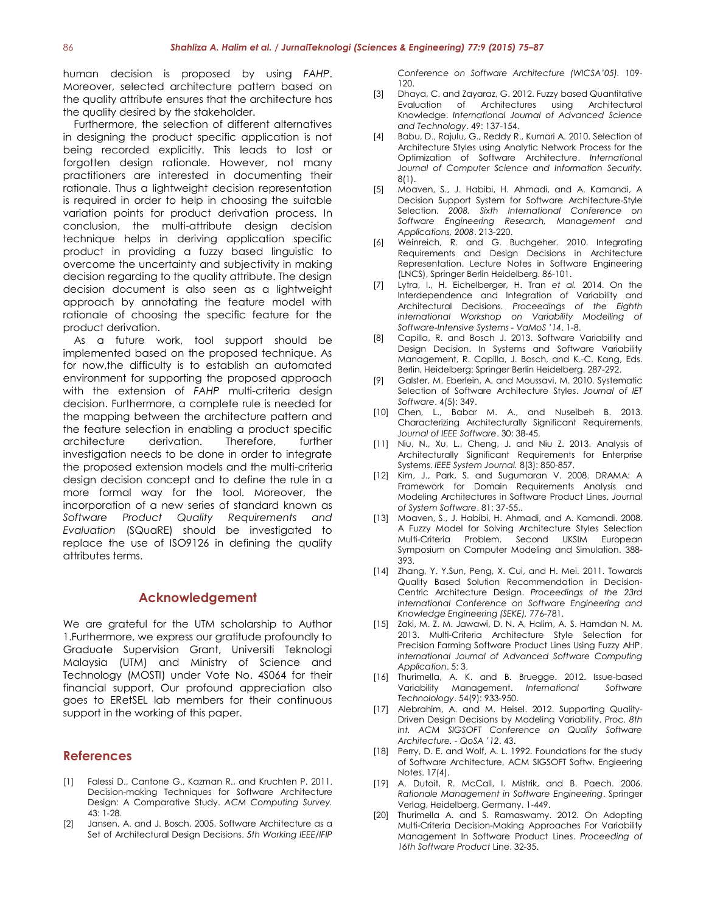human decision is proposed by using *FAHP*. Moreover, selected architecture pattern based on the quality attribute ensures that the architecture has the quality desired by the stakeholder.

Furthermore, the selection of different alternatives in designing the product specific application is not being recorded explicitly. This leads to lost or forgotten design rationale. However, not many practitioners are interested in documenting their rationale. Thus a lightweight decision representation is required in order to help in choosing the suitable variation points for product derivation process. In conclusion, the multi-attribute design decision technique helps in deriving application specific product in providing a fuzzy based linguistic to overcome the uncertainty and subjectivity in making decision regarding to the quality attribute. The design decision document is also seen as a lightweight approach by annotating the feature model with rationale of choosing the specific feature for the product derivation.

As a future work, tool support should be implemented based on the proposed technique. As for now,the difficulty is to establish an automated environment for supporting the proposed approach with the extension of *FAHP* multi-criteria design decision. Furthermore, a complete rule is needed for the mapping between the architecture pattern and the feature selection in enabling a product specific architecture derivation. Therefore, further investigation needs to be done in order to integrate the proposed extension models and the multi-criteria design decision concept and to define the rule in a more formal way for the tool. Moreover, the incorporation of a new series of standard known as *Software Product Quality Requirements and Evaluation* (SQuaRE) should be investigated to replace the use of ISO9126 in defining the quality attributes terms.

## **Acknowledgement**

We are arateful for the UTM scholarship to Author 1.Furthermore, we express our gratitude profoundly to Graduate Supervision Grant, Universiti Teknologi Malaysia (UTM) and Ministry of Science and Technology (MOSTI) under Vote No. 4S064 for their financial support. Our profound appreciation also goes to ERetSEL lab members for their continuous support in the working of this paper.

## **References**

- [1] Falessi D., Cantone G., Kazman R., and Kruchten P. 2011. Decision-making Techniques for Software Architecture Design: A Comparative Study. *ACM Computing Survey.* 43: 1-28.
- [2] Jansen, A. and J. Bosch. 2005. Software Architecture as a Set of Architectural Design Decisions. *5th Working IEEE/IFIP*

*Conference on Software Architecture (WICSA'05).* 109- 120.

- [3] Dhaya, C. and Zayaraz, G. 2012. Fuzzy based Quantitative Evaluation of Architectures using Architectural Knowledge. *International Journal of Advanced Science and Technology*. 49: 137-154.
- [4] Babu, D., Rajulu, G., Reddy R., Kumari A. 2010. Selection of Architecture Styles using Analytic Network Process for the Optimization of Software Architecture. *International Journal of Computer Science and Information Security.* 8(1).
- [5] Moaven, S., J. Habibi, H. Ahmadi, and A. Kamandi, A Decision Support System for Software Architecture-Style Selection. *2008. Sixth International Conference on Software Engineering Research, Management and Applications, 2008*. 213-220.
- [6] Weinreich, R. and G. Buchgeher. 2010. Integrating Requirements and Design Decisions in Architecture Representation. Lecture Notes in Software Engineering (LNCS), Springer Berlin Heidelberg. 86-101.
- [7] Lytra, I., H. Eichelberger, H. Tran *et al.* 2014. On the Interdependence and Integration of Variability and Architectural Decisions. *Proceedings of the Eighth International Workshop on Variability Modelling of Software-Intensive Systems - VaMoS '14*. 1-8.
- [8] Capilla, R. and Bosch J. 2013. Software Variability and Design Decision. In Systems and Software Variability Management, R. Capilla, J. Bosch, and K.-C. Kang, Eds. Berlin, Heidelberg: Springer Berlin Heidelberg. 287-292.
- [9] Galster, M. Eberlein, A. and Moussavi, M. 2010. Systematic Selection of Software Architecture Styles. *Journal of IET Software*. 4(5): 349.
- [10] Chen, L., Babar M. A., and Nuseibeh B. 2013. Characterizing Architecturally Significant Requirements. *Journal of IEEE Software*. 30: 38-45.
- [11] Niu, N., Xu, L., Cheng, J. and Niu Z. 2013. Analysis of Architecturally Significant Requirements for Enterprise Systems. *IEEE System Journal.* 8(3): 850-857.
- [12] Kim, J., Park, S. and Sugumaran V. 2008. DRAMA: A Framework for Domain Requirements Analysis and Modeling Architectures in Software Product Lines. *Journal of System Software*. 81: 37-55,.
- [13] Moaven, S., J. Habibi, H. Ahmadi, and A. Kamandi. 2008. A Fuzzy Model for Solving Architecture Styles Selection Multi-Criteria Problem. Second UKSIM European Symposium on Computer Modeling and Simulation. 388- 393.
- [14] Zhang, Y. Y.Sun, Peng, X. Cui, and H. Mei. 2011. Towards Quality Based Solution Recommendation in Decision-Centric Architecture Design. *Proceedings of the 23rd International Conference on Software Engineering and Knowledge Engineering (SEKE).* 776-781.
- [15] Zaki, M. Z. M. Jawawi, D. N. A, Halim, A. S. Hamdan N. M. 2013. Multi-Criteria Architecture Style Selection for Precision Farming Software Product Lines Using Fuzzy AHP. *International Journal of Advanced Software Computing Application*. 5: 3.
- [16] Thurimella, A. K. and B. Bruegge. 2012. Issue-based Variability Management. *International Software Technolology*. 54(9): 933-950.
- [17] Alebrahim, A. and M. Heisel. 2012. Supporting Quality-Driven Design Decisions by Modeling Variability. *Proc. 8th Int. ACM SIGSOFT Conference on Quality Software Architecture. - QoSA '12*. 43.
- [18] Perry, D. E. and Wolf, A. L. 1992. Foundations for the study of Software Architecture, ACM SIGSOFT Softw. Engieering Notes. 17(4).
- [19] A. Dutoit, R. McCall, I. Mistrik, and B. Paech. 2006. *Rationale Management in Software Engineering*. Springer Verlag, Heidelberg, Germany. 1-449.
- [20] Thurimella A. and S. Ramaswamy. 2012. On Adopting Multi-Criteria Decision-Making Approaches For Variability Management In Software Product Lines. *Proceeding of 16th Software Product* Line. 32-35.